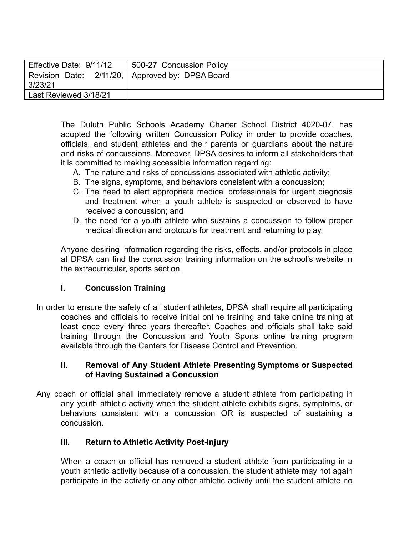| Effective Date: 9/11/12 | 500-27 Concussion Policy                        |
|-------------------------|-------------------------------------------------|
|                         | Revision Date: 2/11/20, Approved by: DPSA Board |
| 3/23/21                 |                                                 |
| Last Reviewed 3/18/21   |                                                 |

The Duluth Public Schools Academy Charter School District 4020-07, has adopted the following written Concussion Policy in order to provide coaches, officials, and student athletes and their parents or guardians about the nature and risks of concussions. Moreover, DPSA desires to inform all stakeholders that it is committed to making accessible information regarding:

- A. The nature and risks of concussions associated with athletic activity;
- B. The signs, symptoms, and behaviors consistent with a concussion;
- C. The need to alert appropriate medical professionals for urgent diagnosis and treatment when a youth athlete is suspected or observed to have received a concussion; and
- D. the need for a youth athlete who sustains a concussion to follow proper medical direction and protocols for treatment and returning to play.

Anyone desiring information regarding the risks, effects, and/or protocols in place at DPSA can find the concussion training information on the school's website in the extracurricular, sports section.

## **I. Concussion Training**

In order to ensure the safety of all student athletes, DPSA shall require all participating coaches and officials to receive initial online training and take online training at least once every three years thereafter. Coaches and officials shall take said training through the Concussion and Youth Sports online training program available through the Centers for Disease Control and Prevention.

## **II. Removal of Any Student Athlete Presenting Symptoms or Suspected of Having Sustained a Concussion**

Any coach or official shall immediately remove a student athlete from participating in any youth athletic activity when the student athlete exhibits signs, symptoms, or behaviors consistent with a concussion OR is suspected of sustaining a concussion.

## **III. Return to Athletic Activity Post-Injury**

When a coach or official has removed a student athlete from participating in a youth athletic activity because of a concussion, the student athlete may not again participate in the activity or any other athletic activity until the student athlete no